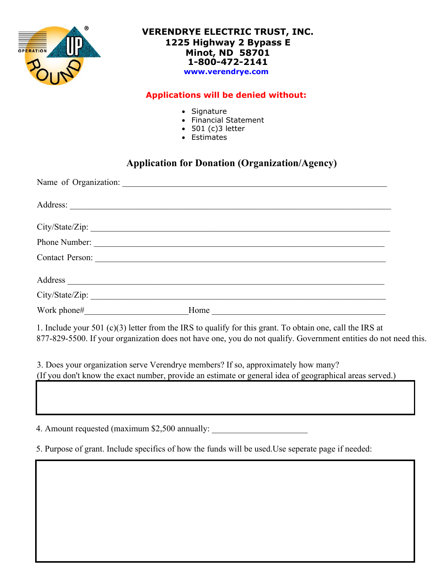

#### **VERENDRYE ELECTRIC TRUST, INC. 1225 Highway 2 Bypass E Minot, ND 58701 1-800-472-2141 www.verendrye.com**

#### **Applications will be denied without:**

- Signature
- Financial Statement
- $501 (c)3 letter$
- Estimates

### **Application for Donation (Organization/Agency)**

| City/State/Zip: |                      |
|-----------------|----------------------|
|                 | Phone Number:        |
|                 |                      |
|                 |                      |
| City/State/Zip: |                      |
| Work phone#     | Home $\qquad \qquad$ |

1. Include your 501 (c)(3) letter from the IRS to qualify for this grant. To obtain one, call the IRS at 877-829-5500. If your organization does not have one, you do not qualify. Government entities do not need this.

3. Does your organization serve Verendrye members? If so, approximately how many? (If you don't know the exact number, provide an estimate or general idea of geographical areas served.)

4. Amount requested (maximum \$2,500 annually:

5. Purpose of grant. Include specifics of how the funds will be used.Use seperate page if needed: